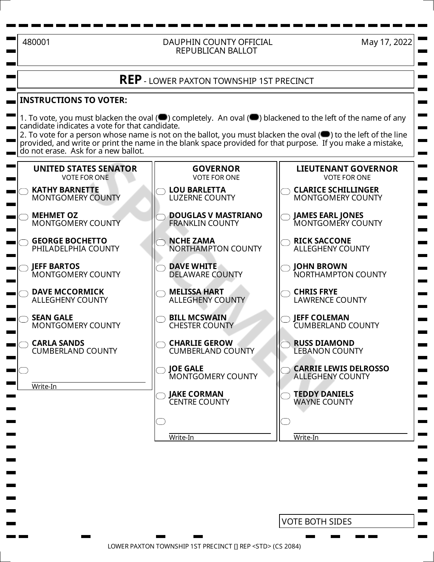## 480001 DAUPHIN COUNTY OFFICIAL REPUBLICAN BALLOT

May 17, 2022

## **REP**- LOWER PAXTON TOWNSHIP 1ST PRECINCT

## **INSTRUCTIONS TO VOTER:**

1. To vote, you must blacken the oval (●) completely. An oval (●) blackened to the left of the name of any candidate indicates a vote for that candidate.

2. To vote for a person whose name is not on the ballot, you must blacken the oval  $($ **)** to the left of the line provided, and write or print the name in the blank space provided for that purpose. If you make a mistake, do not erase. Ask for a new ballot.